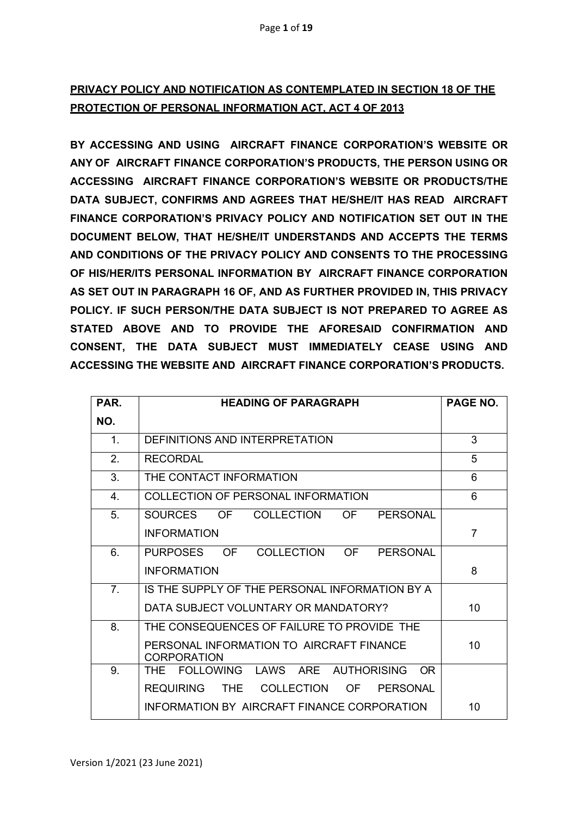# **PRIVACY POLICY AND NOTIFICATION AS CONTEMPLATED IN SECTION 18 OF THE PROTECTION OF PERSONAL INFORMATION ACT, ACT 4 OF 2013**

**BY ACCESSING AND USING AIRCRAFT FINANCE CORPORATION'S WEBSITE OR ANY OF AIRCRAFT FINANCE CORPORATION'S PRODUCTS, THE PERSON USING OR ACCESSING AIRCRAFT FINANCE CORPORATION'S WEBSITE OR PRODUCTS/THE DATA SUBJECT, CONFIRMS AND AGREES THAT HE/SHE/IT HAS READ AIRCRAFT FINANCE CORPORATION'S PRIVACY POLICY AND NOTIFICATION SET OUT IN THE DOCUMENT BELOW, THAT HE/SHE/IT UNDERSTANDS AND ACCEPTS THE TERMS AND CONDITIONS OF THE PRIVACY POLICY AND CONSENTS TO THE PROCESSING OF HIS/HER/ITS PERSONAL INFORMATION BY AIRCRAFT FINANCE CORPORATION AS SET OUT IN PARAGRAPH 16 OF, AND AS FURTHER PROVIDED IN, THIS PRIVACY POLICY. IF SUCH PERSON/THE DATA SUBJECT IS NOT PREPARED TO AGREE AS STATED ABOVE AND TO PROVIDE THE AFORESAID CONFIRMATION AND CONSENT, THE DATA SUBJECT MUST IMMEDIATELY CEASE USING AND ACCESSING THE WEBSITE AND AIRCRAFT FINANCE CORPORATION'S PRODUCTS.**

| <b>PAR</b>     | <b>HEADING OF PARAGRAPH</b>                                    | <b>PAGE NO.</b> |
|----------------|----------------------------------------------------------------|-----------------|
| NO.            |                                                                |                 |
| $\mathbf 1$ .  | DEFINITIONS AND INTERPRETATION                                 | 3               |
| 2.             | <b>RECORDAL</b>                                                | 5               |
| 3.             | THE CONTACT INFORMATION                                        | 6               |
| $\mathbf{4}$   | COLLECTION OF PERSONAL INFORMATION                             | 6               |
| 5.             | COLLECTION<br>SOURCES<br>OF<br>OF<br><b>PERSONAL</b>           |                 |
|                | <b>INFORMATION</b>                                             | $\overline{7}$  |
| 6.             | COLLECTION<br><b>PURPOSES</b><br>OF D<br>OF<br><b>PERSONAL</b> |                 |
|                | <b>INFORMATION</b>                                             | 8               |
| 7 <sub>1</sub> | IS THE SUPPLY OF THE PERSONAL INFORMATION BY A                 |                 |
|                | DATA SUBJECT VOLUNTARY OR MANDATORY?                           | 10              |
| 8.             | THE CONSEQUENCES OF FAILURE TO PROVIDE THE                     |                 |
|                | PERSONAL INFORMATION TO AIRCRAFT FINANCE<br><b>CORPORATION</b> | 10              |
| 9.             | THE FOLLOWING LAWS ARE AUTHORISING<br>OR.                      |                 |
|                | <b>REQUIRING</b><br><b>COLLECTION</b><br>OF<br>THE<br>PERSONAL |                 |
|                | INFORMATION BY AIRCRAFT FINANCE CORPORATION                    | 10              |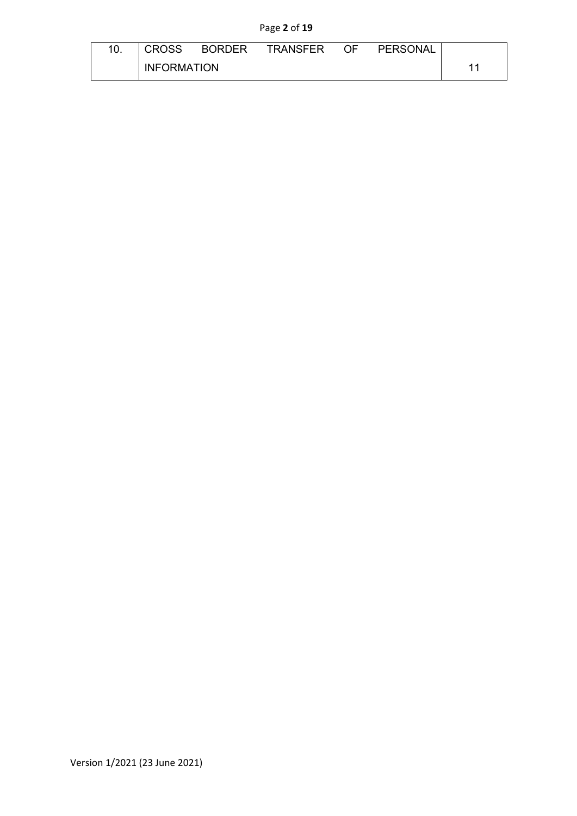## Page **2** of **19**

| <b>CROSS</b>       | BORDER | TRANSFER OF |  | PERSONAL |  |
|--------------------|--------|-------------|--|----------|--|
| <b>INFORMATION</b> |        |             |  |          |  |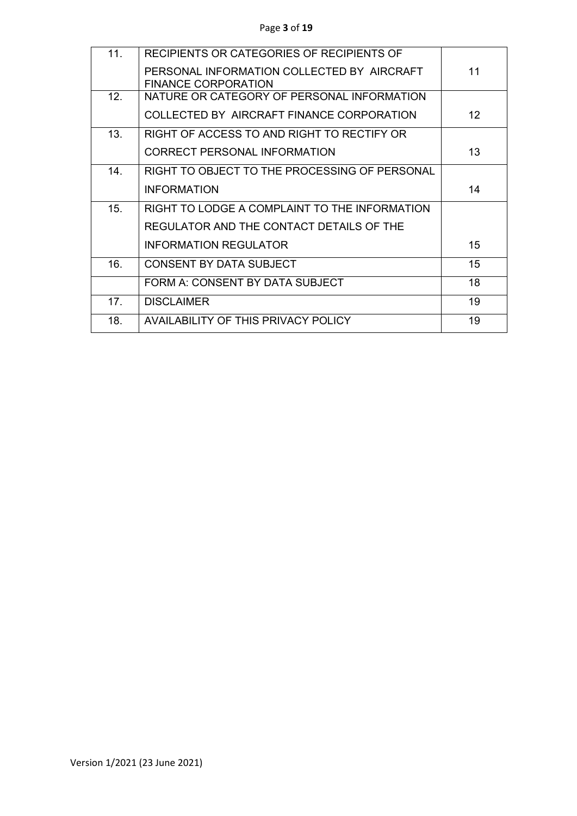| 11. | RECIPIENTS OR CATEGORIES OF RECIPIENTS OF     |                   |
|-----|-----------------------------------------------|-------------------|
|     | PERSONAL INFORMATION COLLECTED BY AIRCRAFT    | 11                |
|     | <b>FINANCE CORPORATION</b>                    |                   |
| 12. | NATURE OR CATEGORY OF PERSONAL INFORMATION    |                   |
|     | COLLECTED BY AIRCRAFT FINANCE CORPORATION     | $12 \overline{ }$ |
| 13. | RIGHT OF ACCESS TO AND RIGHT TO RECTIFY OR    |                   |
|     | <b>CORRECT PERSONAL INFORMATION</b>           | 13                |
| 14. | RIGHT TO OBJECT TO THE PROCESSING OF PERSONAL |                   |
|     | <b>INFORMATION</b>                            | 14                |
| 15. | RIGHT TO LODGE A COMPLAINT TO THE INFORMATION |                   |
|     | REGULATOR AND THE CONTACT DETAILS OF THE      |                   |
|     | <b>INFORMATION REGULATOR</b>                  | 15                |
| 16. | CONSENT BY DATA SUBJECT                       | 15                |
|     | FORM A: CONSENT BY DATA SUBJECT               | 18                |
| 17. | <b>DISCLAIMER</b>                             | 19                |
| 18. | <b>AVAILABILITY OF THIS PRIVACY POLICY</b>    | 19                |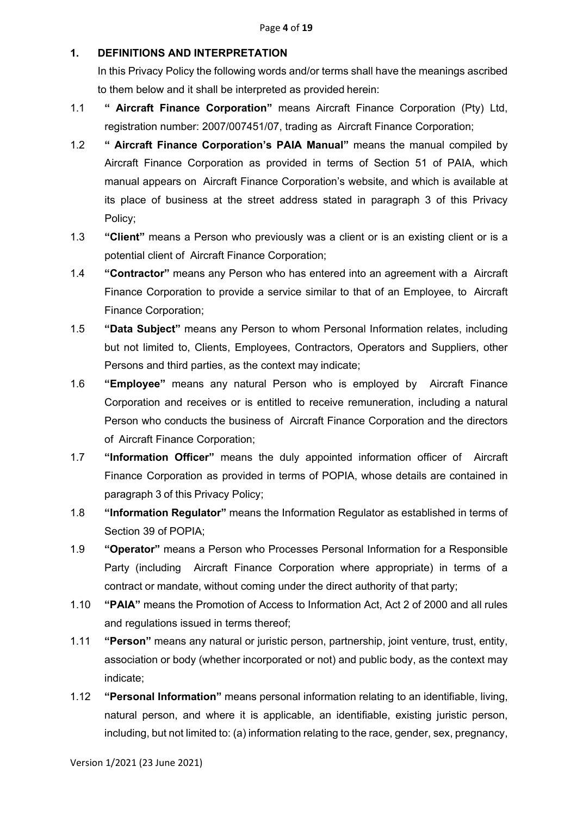### **1. DEFINITIONS AND INTERPRETATION**

In this Privacy Policy the following words and/or terms shall have the meanings ascribed to them below and it shall be interpreted as provided herein:

- 1.1 **" Aircraft Finance Corporation"** means Aircraft Finance Corporation (Pty) Ltd, registration number: 2007/007451/07, trading as Aircraft Finance Corporation;
- 1.2 **" Aircraft Finance Corporation's PAIA Manual"** means the manual compiled by Aircraft Finance Corporation as provided in terms of Section 51 of PAIA, which manual appears on Aircraft Finance Corporation's website, and which is available at its place of business at the street address stated in paragraph 3 of this Privacy Policy;
- 1.3 **"Client"** means a Person who previously was a client or is an existing client or is a potential client of Aircraft Finance Corporation;
- 1.4 **"Contractor"** means any Person who has entered into an agreement with a Aircraft Finance Corporation to provide a service similar to that of an Employee, to Aircraft Finance Corporation;
- 1.5 **"Data Subject"** means any Person to whom Personal Information relates, including but not limited to, Clients, Employees, Contractors, Operators and Suppliers, other Persons and third parties, as the context may indicate;
- 1.6 **"Employee"** means any natural Person who is employed by Aircraft Finance Corporation and receives or is entitled to receive remuneration, including a natural Person who conducts the business of Aircraft Finance Corporation and the directors of Aircraft Finance Corporation;
- 1.7 **"Information Officer"** means the duly appointed information officer of Aircraft Finance Corporation as provided in terms of POPIA, whose details are contained in paragraph 3 of this Privacy Policy;
- 1.8 **"Information Regulator"** means the Information Regulator as established in terms of Section 39 of POPIA;
- 1.9 **"Operator"** means a Person who Processes Personal Information for a Responsible Party (including Aircraft Finance Corporation where appropriate) in terms of a contract or mandate, without coming under the direct authority of that party;
- 1.10 **"PAIA"** means the Promotion of Access to Information Act, Act 2 of 2000 and all rules and regulations issued in terms thereof;
- 1.11 **"Person"** means any natural or juristic person, partnership, joint venture, trust, entity, association or body (whether incorporated or not) and public body, as the context may indicate;
- 1.12 **"Personal Information"** means personal information relating to an identifiable, living, natural person, and where it is applicable, an identifiable, existing juristic person, including, but not limited to: (a) information relating to the race, gender, sex, pregnancy,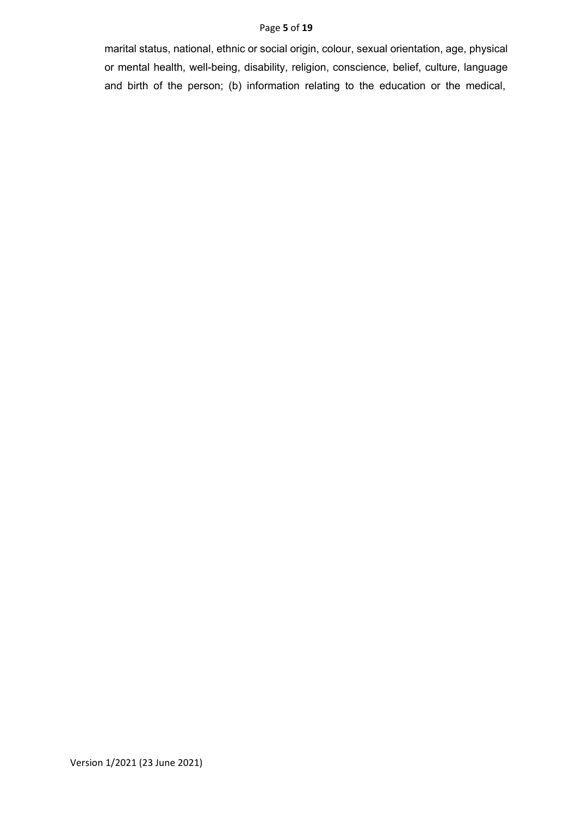#### Page **5** of **19**

marital status, national, ethnic or social origin, colour, sexual orientation, age, physical or mental health, well-being, disability, religion, conscience, belief, culture, language and birth of the person; (b) information relating to the education or the medical,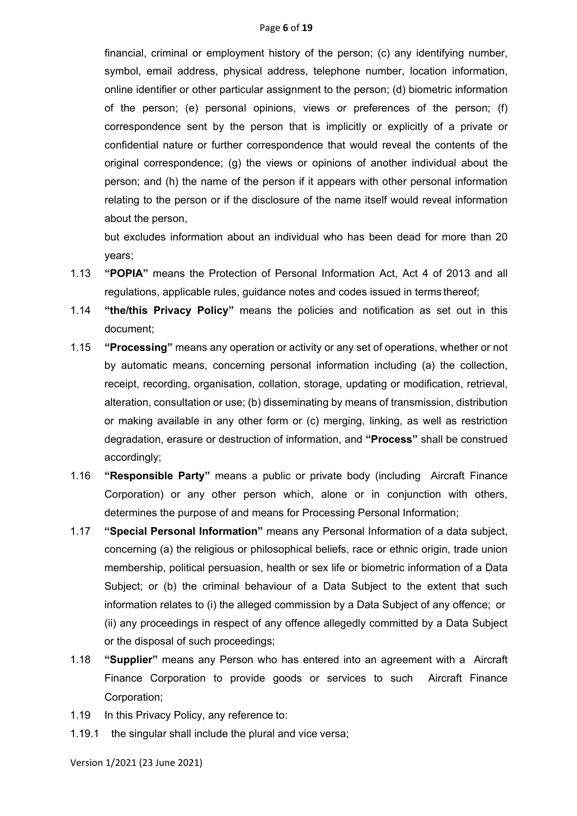financial, criminal or employment history of the person; (c) any identifying number, symbol, email address, physical address, telephone number, location information, online identifier or other particular assignment to the person; (d) biometric information of the person; (e) personal opinions, views or preferences of the person; (f) correspondence sent by the person that is implicitly or explicitly of a private or confidential nature or further correspondence that would reveal the contents of the original correspondence; (g) the views or opinions of another individual about the person; and (h) the name of the person if it appears with other personal information relating to the person or if the disclosure of the name itself would reveal information about the person,

but excludes information about an individual who has been dead for more than 20 years;

- 1.13 **"POPIA"** means the Protection of Personal Information Act, Act 4 of 2013 and all regulations, applicable rules, guidance notes and codes issued in terms thereof;
- 1.14 **"the/this Privacy Policy"** means the policies and notification as set out in this document;
- 1.15 **"Processing"** means any operation or activity or any set of operations, whether or not by automatic means, concerning personal information including (a) the collection, receipt, recording, organisation, collation, storage, updating or modification, retrieval, alteration, consultation or use; (b) disseminating by means of transmission, distribution or making available in any other form or (c) merging, linking, as well as restriction degradation, erasure or destruction of information, and **"Process"** shall be construed accordingly;
- 1.16 **"Responsible Party"** means a public or private body (including Aircraft Finance Corporation) or any other person which, alone or in conjunction with others, determines the purpose of and means for Processing Personal Information;
- 1.17 **"Special Personal Information"** means any Personal Information of a data subject, concerning (a) the religious or philosophical beliefs, race or ethnic origin, trade union membership, political persuasion, health or sex life or biometric information of a Data Subject; or (b) the criminal behaviour of a Data Subject to the extent that such information relates to (i) the alleged commission by a Data Subject of any offence; or (ii) any proceedings in respect of any offence allegedly committed by a Data Subject or the disposal of such proceedings;
- 1.18 **"Supplier"** means any Person who has entered into an agreement with a Aircraft Finance Corporation to provide goods or services to such Aircraft Finance Corporation;
- 1.19 In this Privacy Policy, any reference to:
- 1.19.1 the singular shall include the plural and vice versa;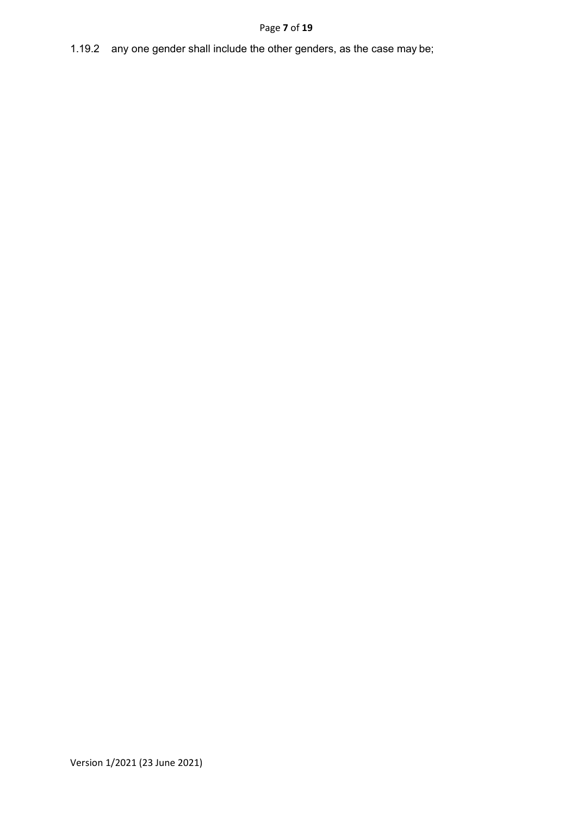### Page **7** of **19**

## 1.19.2 any one gender shall include the other genders, as the case may be;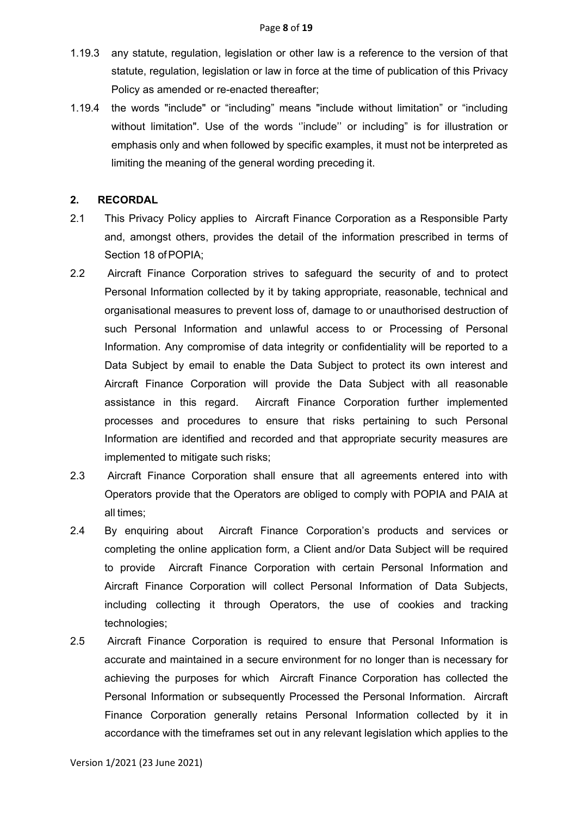- 1.19.3 any statute, regulation, legislation or other law is a reference to the version of that statute, regulation, legislation or law in force at the time of publication of this Privacy Policy as amended or re-enacted thereafter;
- 1.19.4 the words "include" or "including" means "include without limitation" or "including without limitation". Use of the words ''include'' or including" is for illustration or emphasis only and when followed by specific examples, it must not be interpreted as limiting the meaning of the general wording preceding it.

#### **2. RECORDAL**

- 2.1 This Privacy Policy applies to Aircraft Finance Corporation as a Responsible Party and, amongst others, provides the detail of the information prescribed in terms of Section 18 of POPIA;
- 2.2 Aircraft Finance Corporation strives to safeguard the security of and to protect Personal Information collected by it by taking appropriate, reasonable, technical and organisational measures to prevent loss of, damage to or unauthorised destruction of such Personal Information and unlawful access to or Processing of Personal Information. Any compromise of data integrity or confidentiality will be reported to a Data Subject by email to enable the Data Subject to protect its own interest and Aircraft Finance Corporation will provide the Data Subject with all reasonable assistance in this regard. Aircraft Finance Corporation further implemented processes and procedures to ensure that risks pertaining to such Personal Information are identified and recorded and that appropriate security measures are implemented to mitigate such risks;
- 2.3 Aircraft Finance Corporation shall ensure that all agreements entered into with Operators provide that the Operators are obliged to comply with POPIA and PAIA at all times;
- 2.4 By enquiring about Aircraft Finance Corporation's products and services or completing the online application form, a Client and/or Data Subject will be required to provide Aircraft Finance Corporation with certain Personal Information and Aircraft Finance Corporation will collect Personal Information of Data Subjects, including collecting it through Operators, the use of cookies and tracking technologies;
- 2.5 Aircraft Finance Corporation is required to ensure that Personal Information is accurate and maintained in a secure environment for no longer than is necessary for achieving the purposes for which Aircraft Finance Corporation has collected the Personal Information or subsequently Processed the Personal Information. Aircraft Finance Corporation generally retains Personal Information collected by it in accordance with the timeframes set out in any relevant legislation which applies to the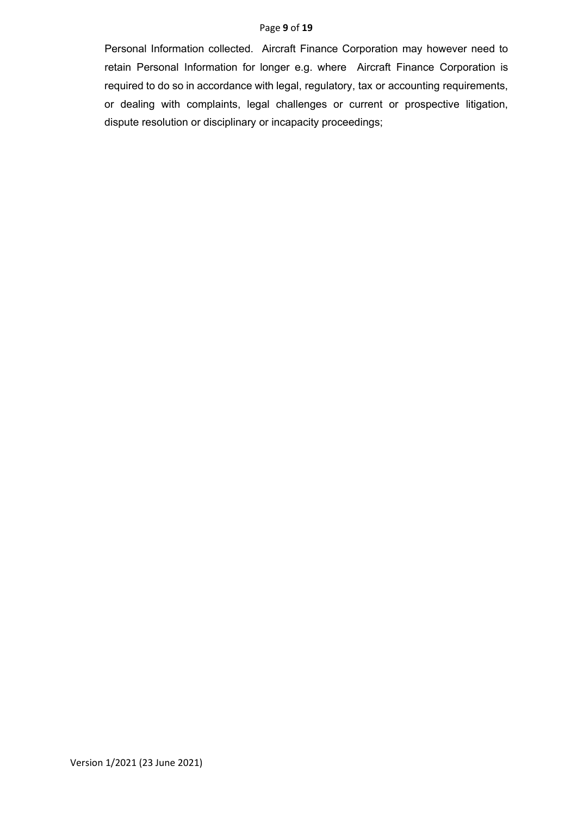#### Page **9** of **19**

Personal Information collected. Aircraft Finance Corporation may however need to retain Personal Information for longer e.g. where Aircraft Finance Corporation is required to do so in accordance with legal, regulatory, tax or accounting requirements, or dealing with complaints, legal challenges or current or prospective litigation, dispute resolution or disciplinary or incapacity proceedings;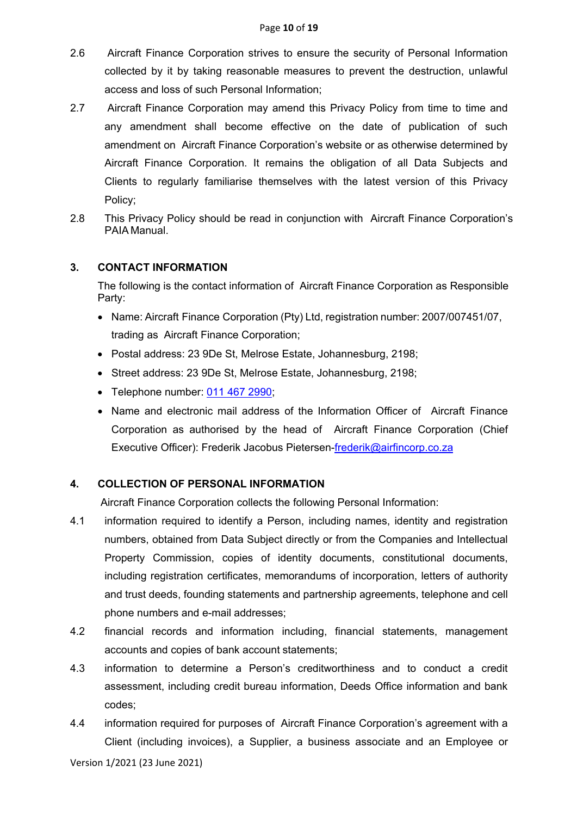- 2.6 Aircraft Finance Corporation strives to ensure the security of Personal Information collected by it by taking reasonable measures to prevent the destruction, unlawful access and loss of such Personal Information;
- 2.7 Aircraft Finance Corporation may amend this Privacy Policy from time to time and any amendment shall become effective on the date of publication of such amendment on Aircraft Finance Corporation's website or as otherwise determined by Aircraft Finance Corporation. It remains the obligation of all Data Subjects and Clients to regularly familiarise themselves with the latest version of this Privacy Policy;
- 2.8 This Privacy Policy should be read in conjunction with Aircraft Finance Corporation's PAIA Manual.

### **3. CONTACT INFORMATION**

The following is the contact information of Aircraft Finance Corporation as Responsible Party:

- Name: Aircraft Finance Corporation (Pty) Ltd, registration number: 2007/007451/07, trading as Aircraft Finance Corporation;
- Postal address: 23 9De St, Melrose Estate, Johannesburg, 2198;
- Street address: 23 9De St, Melrose Estate, Johannesburg, 2198;
- Telephone number: [011 467 2990;](https://www.google.com/search?client=firefox-b-d&q=Aircraft+Finance+Corporation)
- Name and electronic mail address of the Information Officer of Aircraft Finance Corporation as authorised by the head of Aircraft Finance Corporation (Chief Executive Officer): Frederik Jacobus Pietersen-frederik@airfincorp.co.za

## **4. COLLECTION OF PERSONAL INFORMATION**

Aircraft Finance Corporation collects the following Personal Information:

- 4.1 information required to identify a Person, including names, identity and registration numbers, obtained from Data Subject directly or from the Companies and Intellectual Property Commission, copies of identity documents, constitutional documents, including registration certificates, memorandums of incorporation, letters of authority and trust deeds, founding statements and partnership agreements, telephone and cell phone numbers and e-mail addresses;
- 4.2 financial records and information including, financial statements, management accounts and copies of bank account statements;
- 4.3 information to determine a Person's creditworthiness and to conduct a credit assessment, including credit bureau information, Deeds Office information and bank codes;
- 4.4 information required for purposes of Aircraft Finance Corporation's agreement with a Client (including invoices), a Supplier, a business associate and an Employee or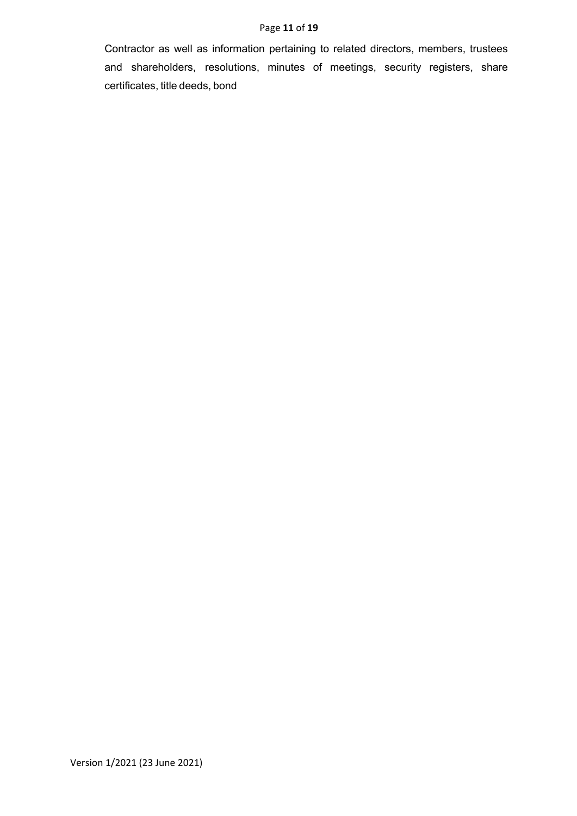### Page **11** of **19**

Contractor as well as information pertaining to related directors, members, trustees and shareholders, resolutions, minutes of meetings, security registers, share certificates, title deeds, bond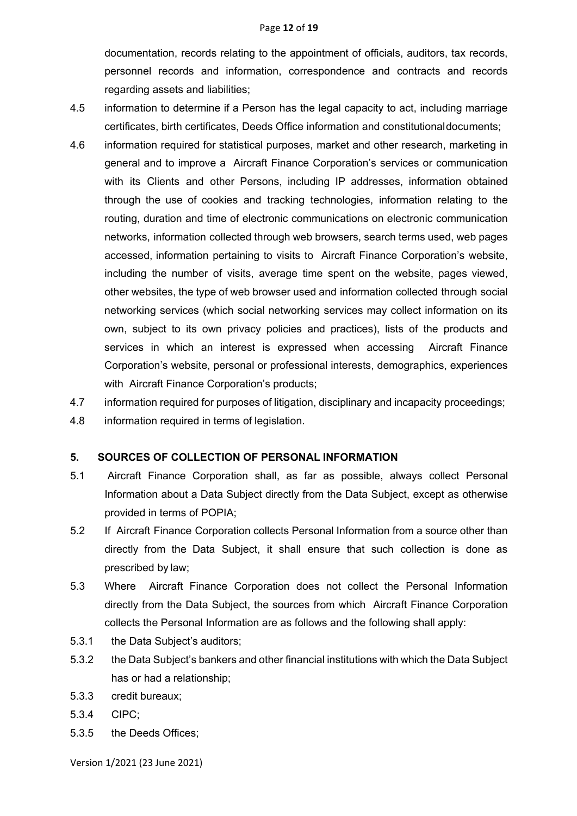documentation, records relating to the appointment of officials, auditors, tax records, personnel records and information, correspondence and contracts and records regarding assets and liabilities;

- 4.5 information to determine if a Person has the legal capacity to act, including marriage certificates, birth certificates, Deeds Office information and constitutionaldocuments;
- 4.6 information required for statistical purposes, market and other research, marketing in general and to improve a Aircraft Finance Corporation's services or communication with its Clients and other Persons, including IP addresses, information obtained through the use of cookies and tracking technologies, information relating to the routing, duration and time of electronic communications on electronic communication networks, information collected through web browsers, search terms used, web pages accessed, information pertaining to visits to Aircraft Finance Corporation's website, including the number of visits, average time spent on the website, pages viewed, other websites, the type of web browser used and information collected through social networking services (which social networking services may collect information on its own, subject to its own privacy policies and practices), lists of the products and services in which an interest is expressed when accessing Aircraft Finance Corporation's website, personal or professional interests, demographics, experiences with Aircraft Finance Corporation's products;
- 4.7 information required for purposes of litigation, disciplinary and incapacity proceedings;
- 4.8 information required in terms of legislation.

### **5. SOURCES OF COLLECTION OF PERSONAL INFORMATION**

- 5.1 Aircraft Finance Corporation shall, as far as possible, always collect Personal Information about a Data Subject directly from the Data Subject, except as otherwise provided in terms of POPIA;
- 5.2 If Aircraft Finance Corporation collects Personal Information from a source other than directly from the Data Subject, it shall ensure that such collection is done as prescribed by law;
- 5.3 Where Aircraft Finance Corporation does not collect the Personal Information directly from the Data Subject, the sources from which Aircraft Finance Corporation collects the Personal Information are as follows and the following shall apply:
- 5.3.1 the Data Subject's auditors;
- 5.3.2 the Data Subject's bankers and other financial institutions with which the Data Subject has or had a relationship;
- 5.3.3 credit bureaux;
- 5.3.4 CIPC;
- 5.3.5 the Deeds Offices;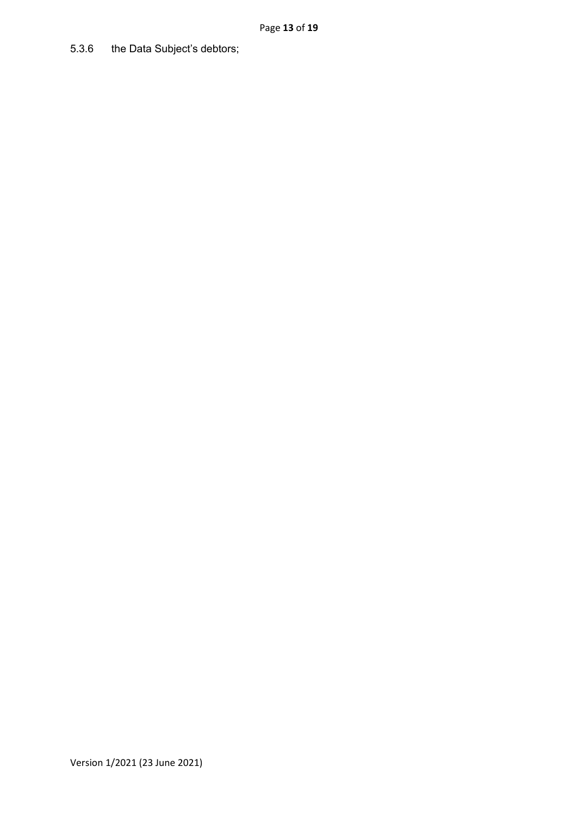## 5.3.6 the Data Subject's debtors;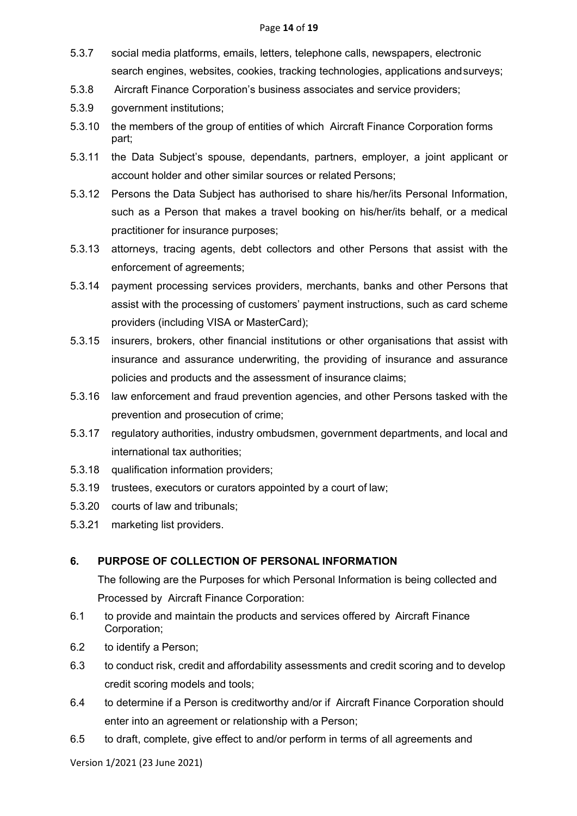#### Page **14** of **19**

- 5.3.7 social media platforms, emails, letters, telephone calls, newspapers, electronic search engines, websites, cookies, tracking technologies, applications andsurveys;
- 5.3.8 Aircraft Finance Corporation's business associates and service providers;
- 5.3.9 government institutions;
- 5.3.10 the members of the group of entities of which Aircraft Finance Corporation forms part;
- 5.3.11 the Data Subject's spouse, dependants, partners, employer, a joint applicant or account holder and other similar sources or related Persons;
- 5.3.12 Persons the Data Subject has authorised to share his/her/its Personal Information, such as a Person that makes a travel booking on his/her/its behalf, or a medical practitioner for insurance purposes;
- 5.3.13 attorneys, tracing agents, debt collectors and other Persons that assist with the enforcement of agreements;
- 5.3.14 payment processing services providers, merchants, banks and other Persons that assist with the processing of customers' payment instructions, such as card scheme providers (including VISA or MasterCard);
- 5.3.15 insurers, brokers, other financial institutions or other organisations that assist with insurance and assurance underwriting, the providing of insurance and assurance policies and products and the assessment of insurance claims;
- 5.3.16 law enforcement and fraud prevention agencies, and other Persons tasked with the prevention and prosecution of crime;
- 5.3.17 regulatory authorities, industry ombudsmen, government departments, and local and international tax authorities;
- 5.3.18 qualification information providers;
- 5.3.19 trustees, executors or curators appointed by a court of law;
- 5.3.20 courts of law and tribunals;
- 5.3.21 marketing list providers.

### **6. PURPOSE OF COLLECTION OF PERSONAL INFORMATION**

The following are the Purposes for which Personal Information is being collected and Processed by Aircraft Finance Corporation:

- 6.1 to provide and maintain the products and services offered by Aircraft Finance Corporation;
- 6.2 to identify a Person;
- 6.3 to conduct risk, credit and affordability assessments and credit scoring and to develop credit scoring models and tools;
- 6.4 to determine if a Person is creditworthy and/or if Aircraft Finance Corporation should enter into an agreement or relationship with a Person;
- 6.5 to draft, complete, give effect to and/or perform in terms of all agreements and

Version 1/2021 (23 June 2021)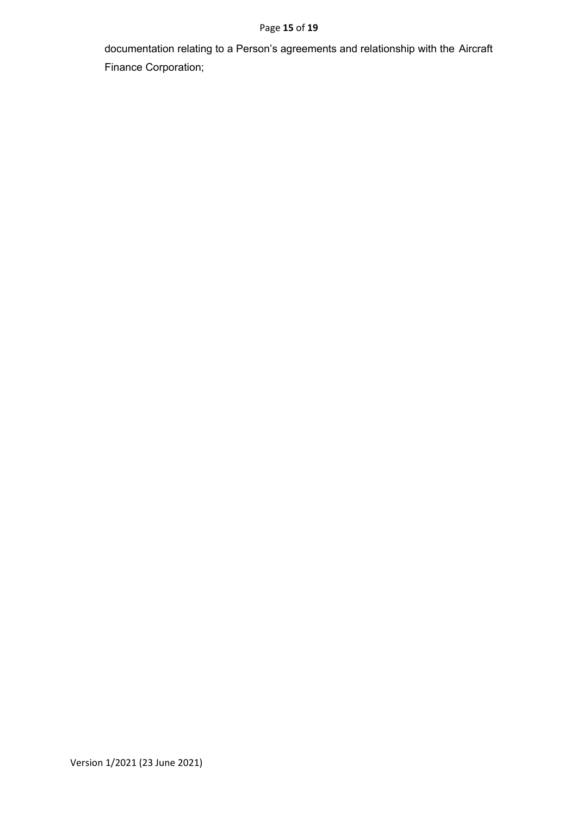### Page **15** of **19**

documentation relating to a Person's agreements and relationship with the Aircraft Finance Corporation;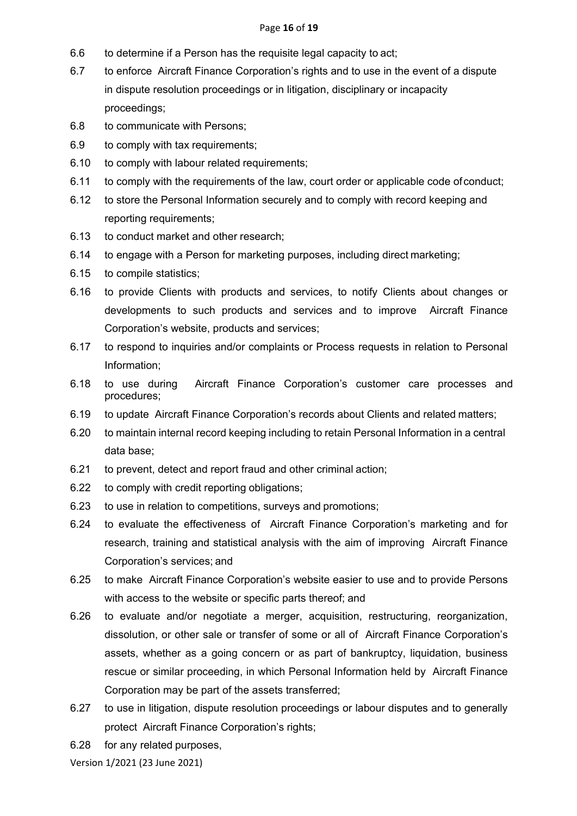#### Page **16** of **19**

- 6.6 to determine if a Person has the requisite legal capacity to act;
- 6.7 to enforce Aircraft Finance Corporation's rights and to use in the event of a dispute in dispute resolution proceedings or in litigation, disciplinary or incapacity proceedings;
- 6.8 to communicate with Persons;
- 6.9 to comply with tax requirements;
- 6.10 to comply with labour related requirements;
- 6.11 to comply with the requirements of the law, court order or applicable code ofconduct;
- 6.12 to store the Personal Information securely and to comply with record keeping and reporting requirements;
- 6.13 to conduct market and other research;
- 6.14 to engage with a Person for marketing purposes, including direct marketing;
- 6.15 to compile statistics;
- 6.16 to provide Clients with products and services, to notify Clients about changes or developments to such products and services and to improve Aircraft Finance Corporation's website, products and services;
- 6.17 to respond to inquiries and/or complaints or Process requests in relation to Personal Information;
- 6.18 to use during Aircraft Finance Corporation's customer care processes and procedures;
- 6.19 to update Aircraft Finance Corporation's records about Clients and related matters;
- 6.20 to maintain internal record keeping including to retain Personal Information in a central data base;
- 6.21 to prevent, detect and report fraud and other criminal action;
- 6.22 to comply with credit reporting obligations;
- 6.23 to use in relation to competitions, surveys and promotions;
- 6.24 to evaluate the effectiveness of Aircraft Finance Corporation's marketing and for research, training and statistical analysis with the aim of improving Aircraft Finance Corporation's services; and
- 6.25 to make Aircraft Finance Corporation's website easier to use and to provide Persons with access to the website or specific parts thereof; and
- 6.26 to evaluate and/or negotiate a merger, acquisition, restructuring, reorganization, dissolution, or other sale or transfer of some or all of Aircraft Finance Corporation's assets, whether as a going concern or as part of bankruptcy, liquidation, business rescue or similar proceeding, in which Personal Information held by Aircraft Finance Corporation may be part of the assets transferred;
- 6.27 to use in litigation, dispute resolution proceedings or labour disputes and to generally protect Aircraft Finance Corporation's rights;
- 6.28 for any related purposes,

Version 1/2021 (23 June 2021)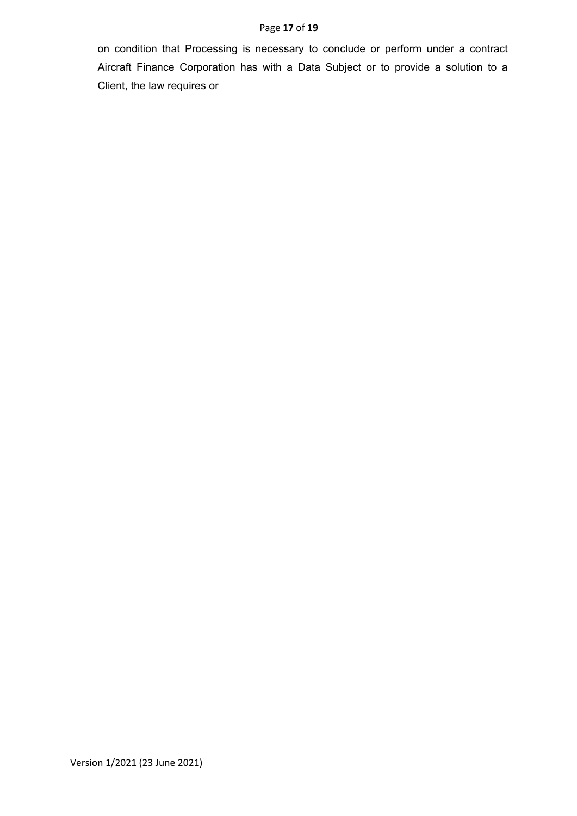#### Page **17** of **19**

on condition that Processing is necessary to conclude or perform under a contract Aircraft Finance Corporation has with a Data Subject or to provide a solution to a Client, the law requires or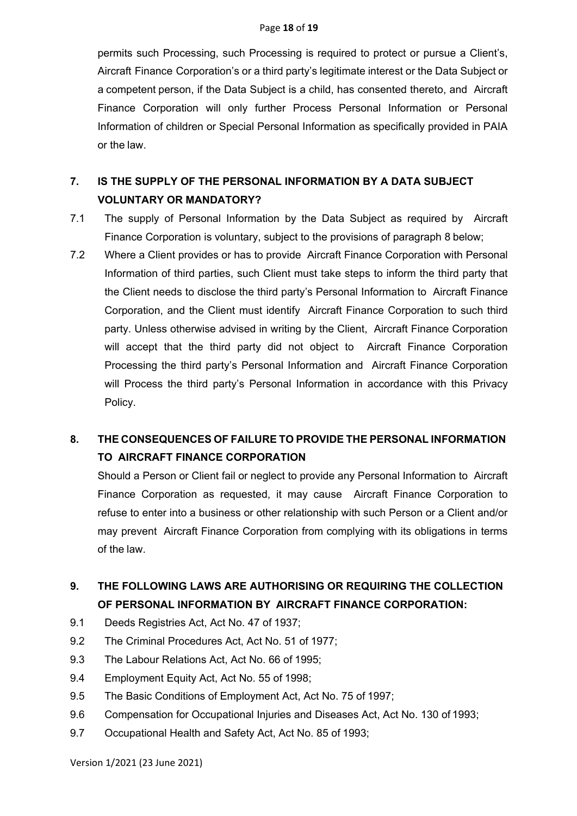permits such Processing, such Processing is required to protect or pursue a Client's, Aircraft Finance Corporation's or a third party's legitimate interest or the Data Subject or a competent person, if the Data Subject is a child, has consented thereto, and Aircraft Finance Corporation will only further Process Personal Information or Personal Information of children or Special Personal Information as specifically provided in PAIA or the law.

# **7. IS THE SUPPLY OF THE PERSONAL INFORMATION BY A DATA SUBJECT VOLUNTARY OR MANDATORY?**

- 7.1 The supply of Personal Information by the Data Subject as required by Aircraft Finance Corporation is voluntary, subject to the provisions of paragraph 8 below;
- 7.2 Where a Client provides or has to provide Aircraft Finance Corporation with Personal Information of third parties, such Client must take steps to inform the third party that the Client needs to disclose the third party's Personal Information to Aircraft Finance Corporation, and the Client must identify Aircraft Finance Corporation to such third party. Unless otherwise advised in writing by the Client, Aircraft Finance Corporation will accept that the third party did not object to Aircraft Finance Corporation Processing the third party's Personal Information and Aircraft Finance Corporation will Process the third party's Personal Information in accordance with this Privacy Policy.

# **8. THE CONSEQUENCES OF FAILURE TO PROVIDE THE PERSONAL INFORMATION TO AIRCRAFT FINANCE CORPORATION**

Should a Person or Client fail or neglect to provide any Personal Information to Aircraft Finance Corporation as requested, it may cause Aircraft Finance Corporation to refuse to enter into a business or other relationship with such Person or a Client and/or may prevent Aircraft Finance Corporation from complying with its obligations in terms of the law.

# **9. THE FOLLOWING LAWS ARE AUTHORISING OR REQUIRING THE COLLECTION OF PERSONAL INFORMATION BY AIRCRAFT FINANCE CORPORATION:**

- 9.1 Deeds Registries Act, Act No. 47 of 1937;
- 9.2 The Criminal Procedures Act, Act No. 51 of 1977;
- 9.3 The Labour Relations Act, Act No. 66 of 1995;
- 9.4 Employment Equity Act, Act No. 55 of 1998;
- 9.5 The Basic Conditions of Employment Act, Act No. 75 of 1997;
- 9.6 Compensation for Occupational Injuries and Diseases Act, Act No. 130 of 1993;
- 9.7 Occupational Health and Safety Act, Act No. 85 of 1993;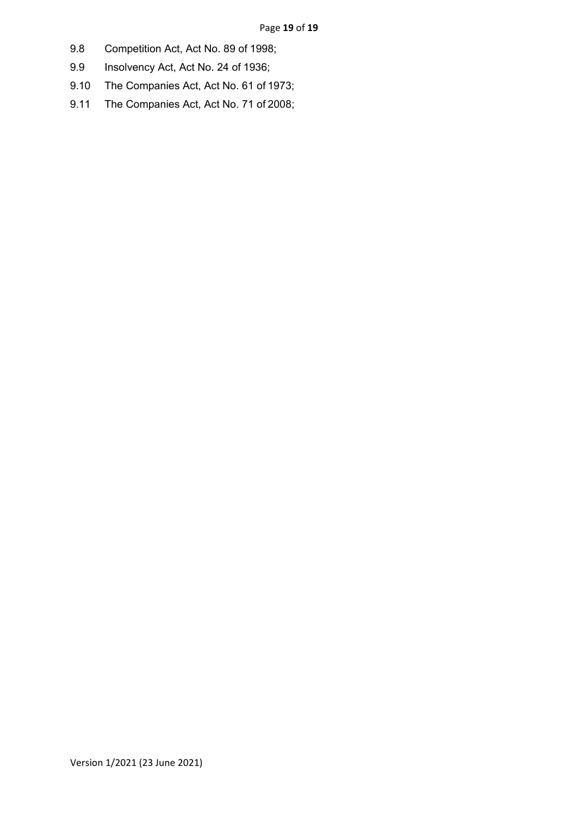- 9.8 Competition Act, Act No. 89 of 1998;
- 9.9 Insolvency Act, Act No. 24 of 1936;
- 9.10 The Companies Act, Act No. 61 of 1973;
- 9.11 The Companies Act, Act No. 71 of 2008;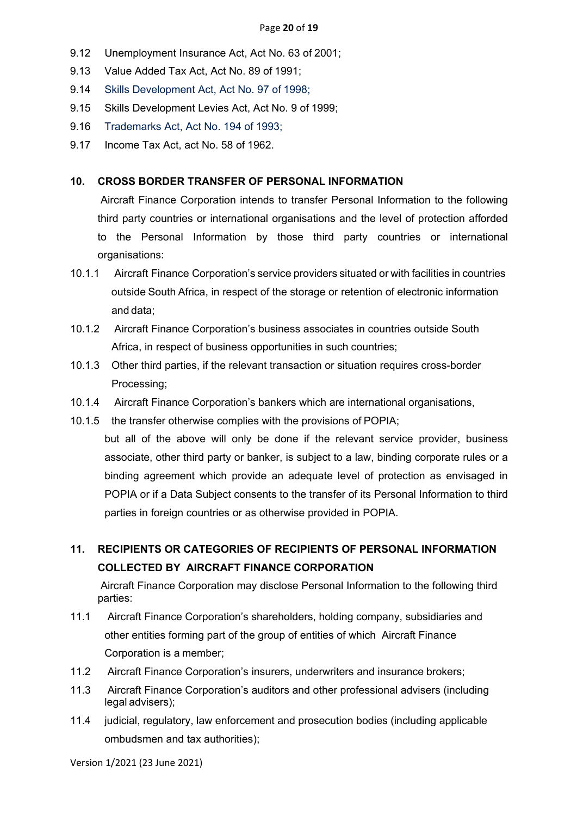- 9.12 Unemployment Insurance Act, Act No. 63 of 2001;
- 9.13 Value Added Tax Act, Act No. 89 of 1991;
- 9.14 Skills Development Act, Act No. 97 of 1998;
- 9.15 Skills Development Levies Act, Act No. 9 of 1999;
- 9.16 Trademarks Act, Act No. 194 of 1993;
- 9.17 Income Tax Act, act No. 58 of 1962.

#### **10. CROSS BORDER TRANSFER OF PERSONAL INFORMATION**

Aircraft Finance Corporation intends to transfer Personal Information to the following third party countries or international organisations and the level of protection afforded to the Personal Information by those third party countries or international organisations:

- 10.1.1 Aircraft Finance Corporation's service providers situated or with facilities in countries outside South Africa, in respect of the storage or retention of electronic information and data;
- 10.1.2 Aircraft Finance Corporation's business associates in countries outside South Africa, in respect of business opportunities in such countries;
- 10.1.3 Other third parties, if the relevant transaction or situation requires cross-border Processing;
- 10.1.4 Aircraft Finance Corporation's bankers which are international organisations,
- 10.1.5 the transfer otherwise complies with the provisions of POPIA;
- but all of the above will only be done if the relevant service provider, business associate, other third party or banker, is subject to a law, binding corporate rules or a binding agreement which provide an adequate level of protection as envisaged in POPIA or if a Data Subject consents to the transfer of its Personal Information to third parties in foreign countries or as otherwise provided in POPIA.

## **11. RECIPIENTS OR CATEGORIES OF RECIPIENTS OF PERSONAL INFORMATION COLLECTED BY AIRCRAFT FINANCE CORPORATION**

Aircraft Finance Corporation may disclose Personal Information to the following third parties:

- 11.1 Aircraft Finance Corporation's shareholders, holding company, subsidiaries and other entities forming part of the group of entities of which Aircraft Finance Corporation is a member;
- 11.2 Aircraft Finance Corporation's insurers, underwriters and insurance brokers;
- 11.3 Aircraft Finance Corporation's auditors and other professional advisers (including legal advisers);
- 11.4 judicial, regulatory, law enforcement and prosecution bodies (including applicable ombudsmen and tax authorities);

Version 1/2021 (23 June 2021)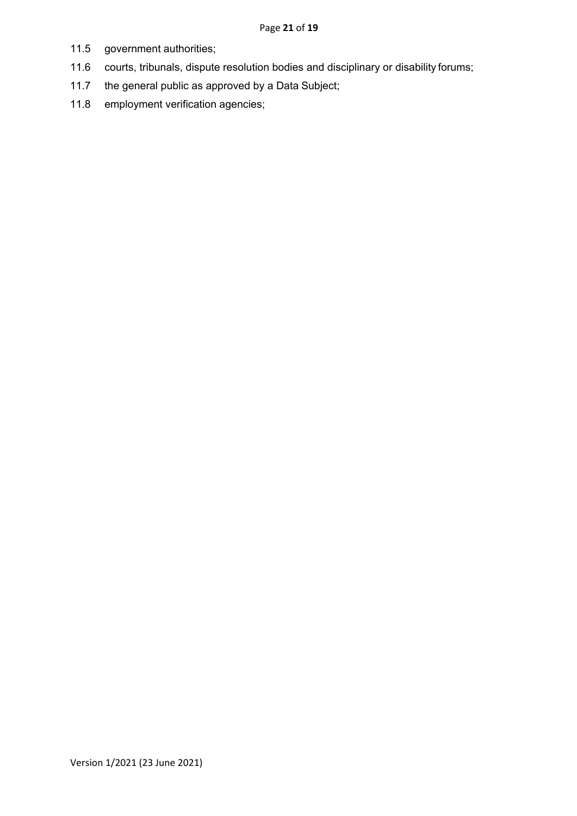- 11.5 government authorities;
- 11.6 courts, tribunals, dispute resolution bodies and disciplinary or disability forums;
- 11.7 the general public as approved by a Data Subject;
- 11.8 employment verification agencies;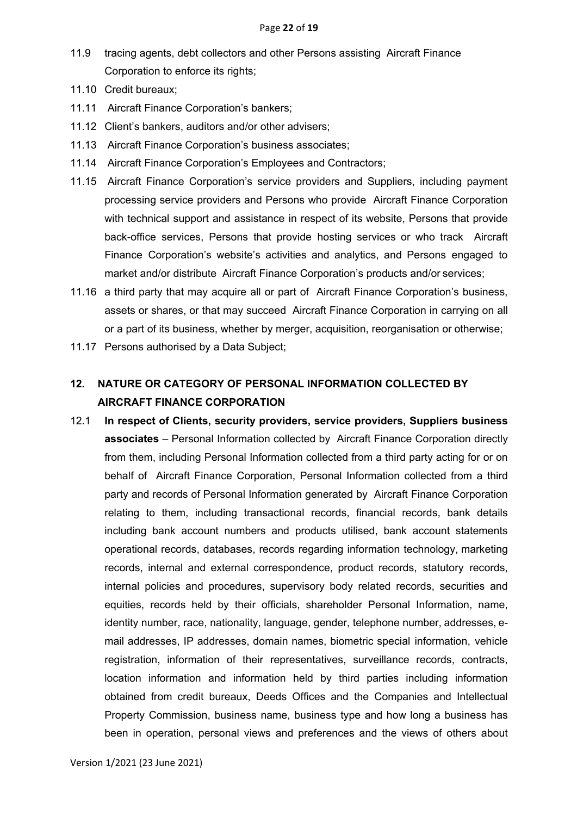- 11.9 tracing agents, debt collectors and other Persons assisting Aircraft Finance Corporation to enforce its rights;
- 11.10 Credit bureaux;
- 11.11 Aircraft Finance Corporation's bankers;
- 11.12 Client's bankers, auditors and/or other advisers;
- 11.13 Aircraft Finance Corporation's business associates;
- 11.14 Aircraft Finance Corporation's Employees and Contractors;
- 11.15 Aircraft Finance Corporation's service providers and Suppliers, including payment processing service providers and Persons who provide Aircraft Finance Corporation with technical support and assistance in respect of its website, Persons that provide back-office services, Persons that provide hosting services or who track Aircraft Finance Corporation's website's activities and analytics, and Persons engaged to market and/or distribute Aircraft Finance Corporation's products and/or services;
- 11.16 a third party that may acquire all or part of Aircraft Finance Corporation's business, assets or shares, or that may succeed Aircraft Finance Corporation in carrying on all or a part of its business, whether by merger, acquisition, reorganisation or otherwise;
- 11.17 Persons authorised by a Data Subject;

# **12. NATURE OR CATEGORY OF PERSONAL INFORMATION COLLECTED BY AIRCRAFT FINANCE CORPORATION**

12.1 **In respect of Clients, security providers, service providers, Suppliers business associates** – Personal Information collected by Aircraft Finance Corporation directly from them, including Personal Information collected from a third party acting for or on behalf of Aircraft Finance Corporation, Personal Information collected from a third party and records of Personal Information generated by Aircraft Finance Corporation relating to them, including transactional records, financial records, bank details including bank account numbers and products utilised, bank account statements operational records, databases, records regarding information technology, marketing records, internal and external correspondence, product records, statutory records, internal policies and procedures, supervisory body related records, securities and equities, records held by their officials, shareholder Personal Information, name, identity number, race, nationality, language, gender, telephone number, addresses, email addresses, IP addresses, domain names, biometric special information, vehicle registration, information of their representatives, surveillance records, contracts, location information and information held by third parties including information obtained from credit bureaux, Deeds Offices and the Companies and Intellectual Property Commission, business name, business type and how long a business has been in operation, personal views and preferences and the views of others about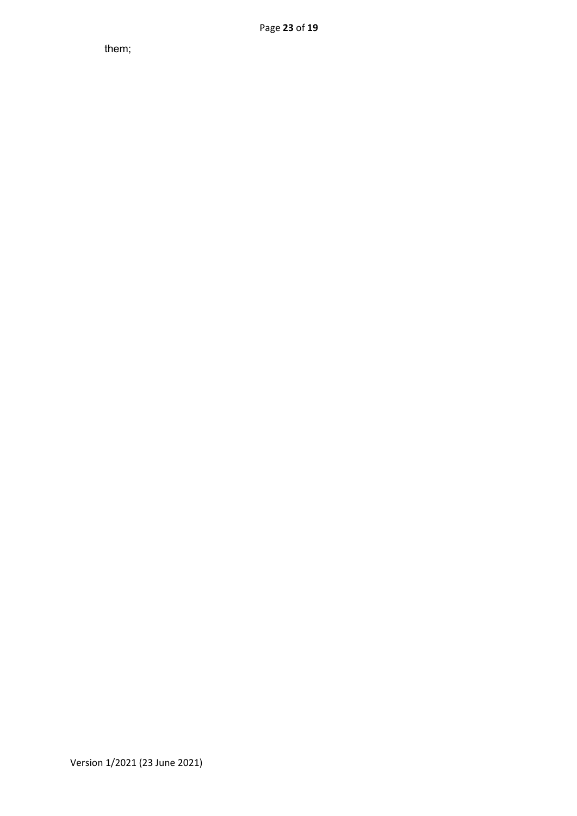them;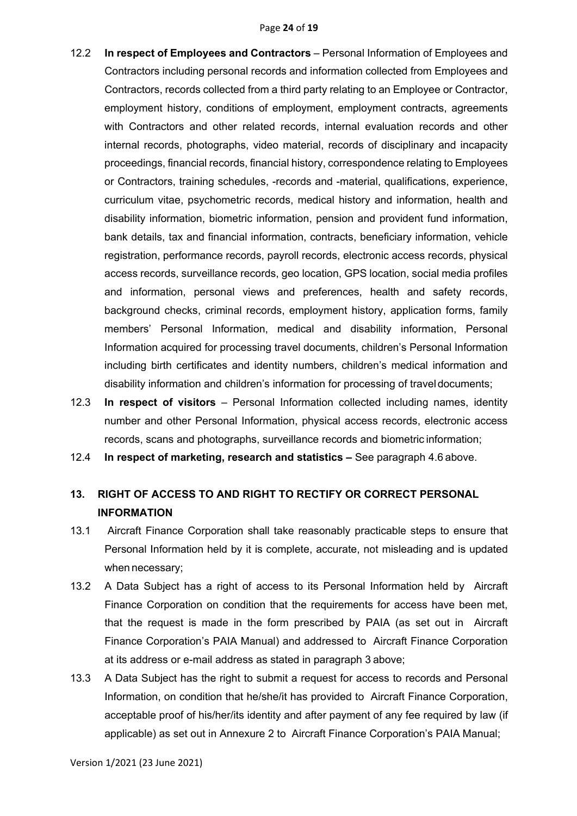- 12.2 **In respect of Employees and Contractors** Personal Information of Employees and Contractors including personal records and information collected from Employees and Contractors, records collected from a third party relating to an Employee or Contractor, employment history, conditions of employment, employment contracts, agreements with Contractors and other related records, internal evaluation records and other internal records, photographs, video material, records of disciplinary and incapacity proceedings, financial records, financial history, correspondence relating to Employees or Contractors, training schedules, -records and -material, qualifications, experience, curriculum vitae, psychometric records, medical history and information, health and disability information, biometric information, pension and provident fund information, bank details, tax and financial information, contracts, beneficiary information, vehicle registration, performance records, payroll records, electronic access records, physical access records, surveillance records, geo location, GPS location, social media profiles and information, personal views and preferences, health and safety records, background checks, criminal records, employment history, application forms, family members' Personal Information, medical and disability information, Personal Information acquired for processing travel documents, children's Personal Information including birth certificates and identity numbers, children's medical information and disability information and children's information for processing of traveldocuments;
- 12.3 **In respect of visitors**  Personal Information collected including names, identity number and other Personal Information, physical access records, electronic access records, scans and photographs, surveillance records and biometric information;
- 12.4 **In respect of marketing, research and statistics –** See paragraph 4.6 above.

# **13. RIGHT OF ACCESS TO AND RIGHT TO RECTIFY OR CORRECT PERSONAL INFORMATION**

- 13.1 Aircraft Finance Corporation shall take reasonably practicable steps to ensure that Personal Information held by it is complete, accurate, not misleading and is updated when necessary;
- 13.2 A Data Subject has a right of access to its Personal Information held by Aircraft Finance Corporation on condition that the requirements for access have been met, that the request is made in the form prescribed by PAIA (as set out in Aircraft Finance Corporation's PAIA Manual) and addressed to Aircraft Finance Corporation at its address or e-mail address as stated in paragraph 3 above;
- 13.3 A Data Subject has the right to submit a request for access to records and Personal Information, on condition that he/she/it has provided to Aircraft Finance Corporation, acceptable proof of his/her/its identity and after payment of any fee required by law (if applicable) as set out in Annexure 2 to Aircraft Finance Corporation's PAIA Manual;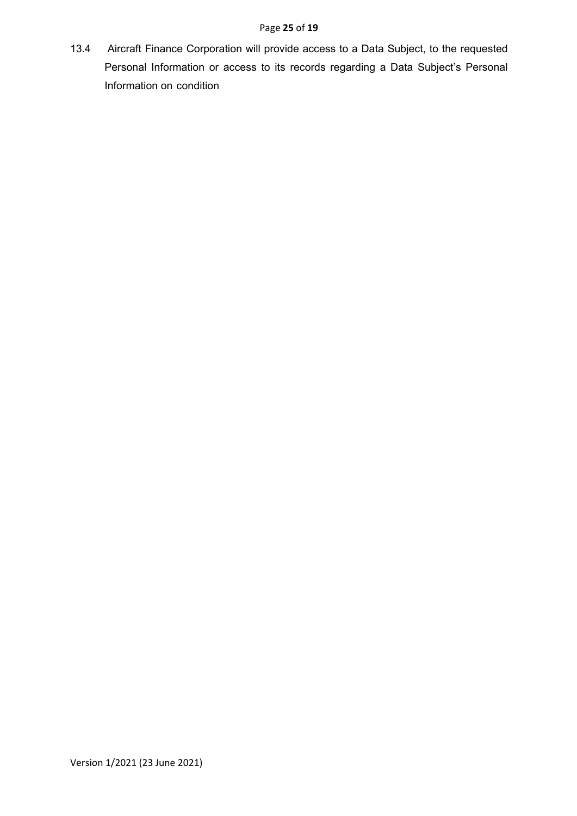### Page **25** of **19**

13.4 Aircraft Finance Corporation will provide access to a Data Subject, to the requested Personal Information or access to its records regarding a Data Subject's Personal Information on condition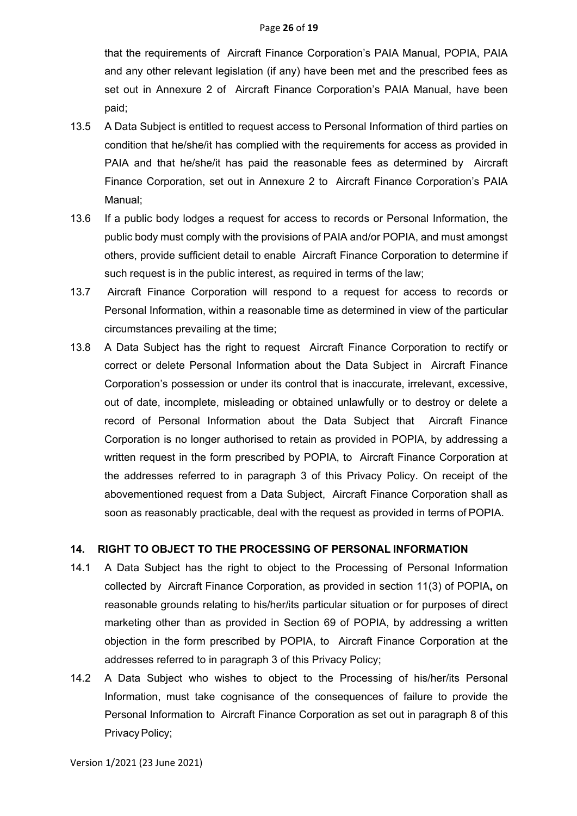that the requirements of Aircraft Finance Corporation's PAIA Manual, POPIA, PAIA and any other relevant legislation (if any) have been met and the prescribed fees as set out in Annexure 2 of Aircraft Finance Corporation's PAIA Manual, have been paid;

- 13.5 A Data Subject is entitled to request access to Personal Information of third parties on condition that he/she/it has complied with the requirements for access as provided in PAIA and that he/she/it has paid the reasonable fees as determined by Aircraft Finance Corporation, set out in Annexure 2 to Aircraft Finance Corporation's PAIA Manual;
- 13.6 If a public body lodges a request for access to records or Personal Information, the public body must comply with the provisions of PAIA and/or POPIA, and must amongst others, provide sufficient detail to enable Aircraft Finance Corporation to determine if such request is in the public interest, as required in terms of the law;
- 13.7 Aircraft Finance Corporation will respond to a request for access to records or Personal Information, within a reasonable time as determined in view of the particular circumstances prevailing at the time;
- 13.8 A Data Subject has the right to request Aircraft Finance Corporation to rectify or correct or delete Personal Information about the Data Subject in Aircraft Finance Corporation's possession or under its control that is inaccurate, irrelevant, excessive, out of date, incomplete, misleading or obtained unlawfully or to destroy or delete a record of Personal Information about the Data Subject that Aircraft Finance Corporation is no longer authorised to retain as provided in POPIA, by addressing a written request in the form prescribed by POPIA, to Aircraft Finance Corporation at the addresses referred to in paragraph 3 of this Privacy Policy. On receipt of the abovementioned request from a Data Subject, Aircraft Finance Corporation shall as soon as reasonably practicable, deal with the request as provided in terms of POPIA.

### **14. RIGHT TO OBJECT TO THE PROCESSING OF PERSONAL INFORMATION**

- 14.1 A Data Subject has the right to object to the Processing of Personal Information collected by Aircraft Finance Corporation, as provided in section 11(3) of POPIA**,** on reasonable grounds relating to his/her/its particular situation or for purposes of direct marketing other than as provided in Section 69 of POPIA, by addressing a written objection in the form prescribed by POPIA, to Aircraft Finance Corporation at the addresses referred to in paragraph 3 of this Privacy Policy;
- 14.2 A Data Subject who wishes to object to the Processing of his/her/its Personal Information, must take cognisance of the consequences of failure to provide the Personal Information to Aircraft Finance Corporation as set out in paragraph 8 of this Privacy Policy;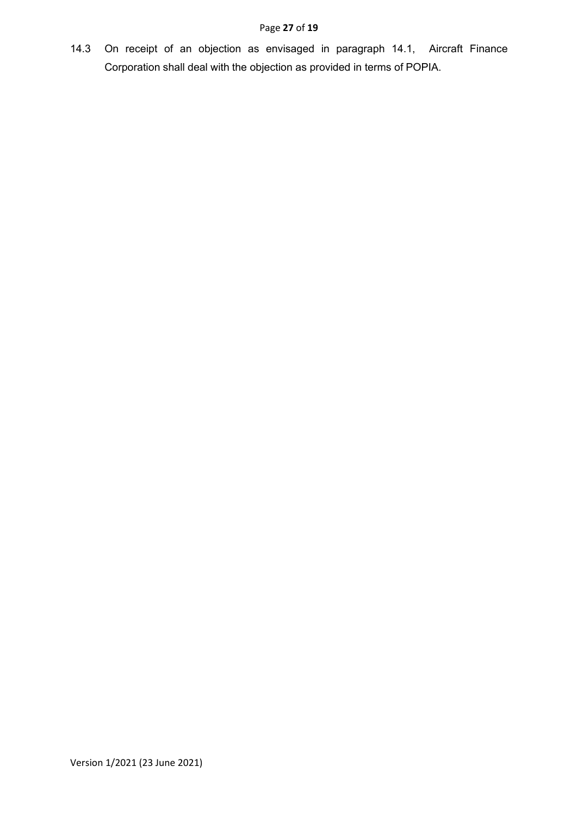### Page **27** of **19**

14.3 On receipt of an objection as envisaged in paragraph 14.1, Aircraft Finance Corporation shall deal with the objection as provided in terms of POPIA.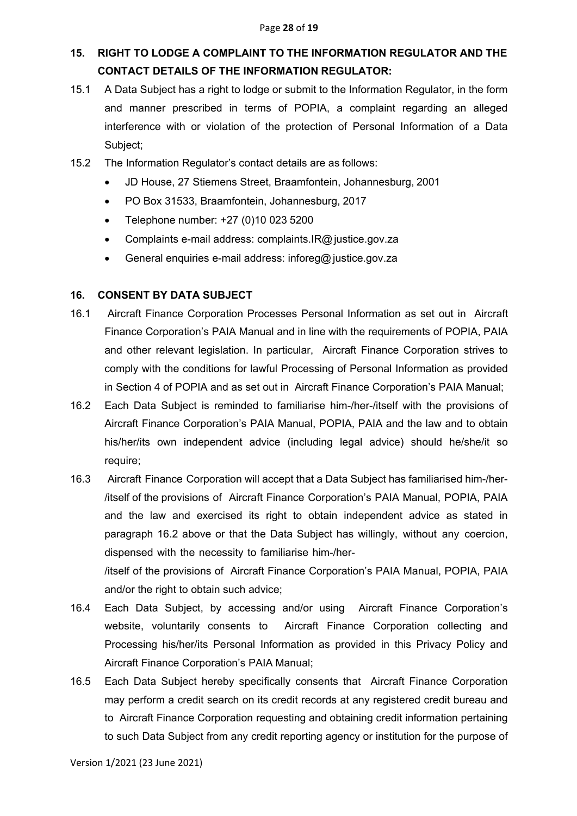## **15. RIGHT TO LODGE A COMPLAINT TO THE INFORMATION REGULATOR AND THE CONTACT DETAILS OF THE INFORMATION REGULATOR:**

- 15.1 A Data Subject has a right to lodge or submit to the Information Regulator, in the form and manner prescribed in terms of POPIA, a complaint regarding an alleged interference with or violation of the protection of Personal Information of a Data Subject;
- 15.2 The Information Regulator's contact details are as follows:
	- JD House, 27 Stiemens Street, Braamfontein, Johannesburg, 2001
	- PO Box 31533, Braamfontein, Johannesburg, 2017
	- Telephone number: +27 (0)10 023 5200
	- Complaints e-mail address: complaints.IR@justice.gov.za
	- General enquiries e-mail address: inforeg@justice.gov.za

### **16. CONSENT BY DATA SUBJECT**

- 16.1 Aircraft Finance Corporation Processes Personal Information as set out in Aircraft Finance Corporation's PAIA Manual and in line with the requirements of POPIA, PAIA and other relevant legislation. In particular, Aircraft Finance Corporation strives to comply with the conditions for lawful Processing of Personal Information as provided in Section 4 of POPIA and as set out in Aircraft Finance Corporation's PAIA Manual;
- 16.2 Each Data Subject is reminded to familiarise him-/her-/itself with the provisions of Aircraft Finance Corporation's PAIA Manual, POPIA, PAIA and the law and to obtain his/her/its own independent advice (including legal advice) should he/she/it so require;
- 16.3 Aircraft Finance Corporation will accept that a Data Subject has familiarised him-/her- /itself of the provisions of Aircraft Finance Corporation's PAIA Manual, POPIA, PAIA and the law and exercised its right to obtain independent advice as stated in paragraph 16.2 above or that the Data Subject has willingly, without any coercion, dispensed with the necessity to familiarise him-/her-

/itself of the provisions of Aircraft Finance Corporation's PAIA Manual, POPIA, PAIA and/or the right to obtain such advice;

- 16.4 Each Data Subject, by accessing and/or using Aircraft Finance Corporation's website, voluntarily consents to Aircraft Finance Corporation collecting and Processing his/her/its Personal Information as provided in this Privacy Policy and Aircraft Finance Corporation's PAIA Manual;
- 16.5 Each Data Subject hereby specifically consents that Aircraft Finance Corporation may perform a credit search on its credit records at any registered credit bureau and to Aircraft Finance Corporation requesting and obtaining credit information pertaining to such Data Subject from any credit reporting agency or institution for the purpose of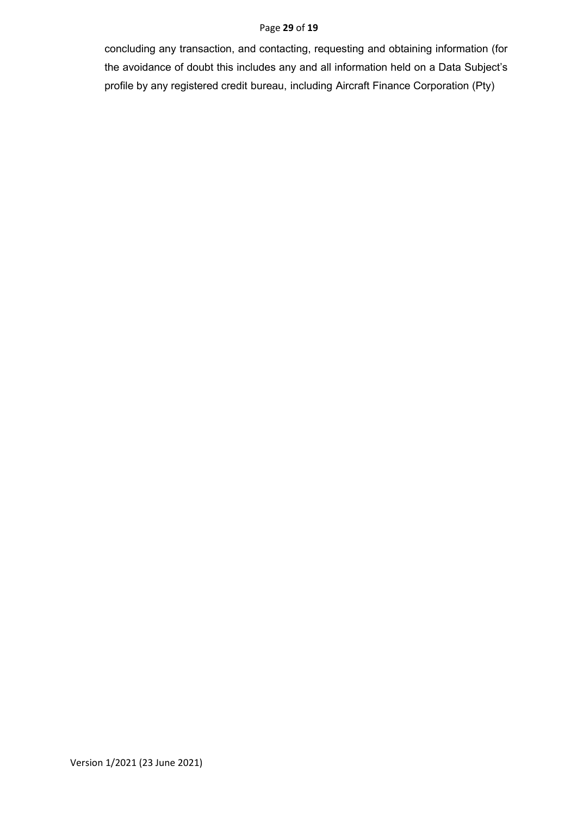#### Page **29** of **19**

concluding any transaction, and contacting, requesting and obtaining information (for the avoidance of doubt this includes any and all information held on a Data Subject's profile by any registered credit bureau, including Aircraft Finance Corporation (Pty)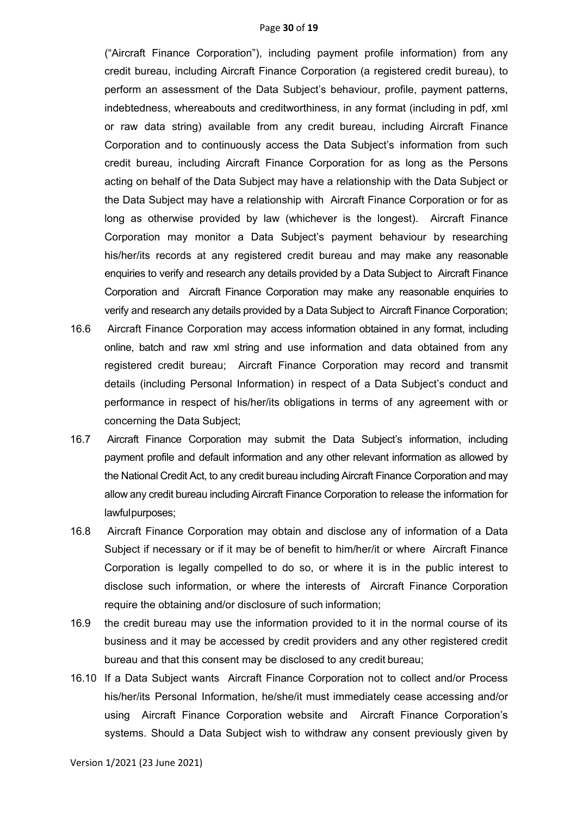#### Page **30** of **19**

("Aircraft Finance Corporation"), including payment profile information) from any credit bureau, including Aircraft Finance Corporation (a registered credit bureau), to perform an assessment of the Data Subject's behaviour, profile, payment patterns, indebtedness, whereabouts and creditworthiness, in any format (including in pdf, xml or raw data string) available from any credit bureau, including Aircraft Finance Corporation and to continuously access the Data Subject's information from such credit bureau, including Aircraft Finance Corporation for as long as the Persons acting on behalf of the Data Subject may have a relationship with the Data Subject or the Data Subject may have a relationship with Aircraft Finance Corporation or for as long as otherwise provided by law (whichever is the longest). Aircraft Finance Corporation may monitor a Data Subject's payment behaviour by researching his/her/its records at any registered credit bureau and may make any reasonable enquiries to verify and research any details provided by a Data Subject to Aircraft Finance Corporation and Aircraft Finance Corporation may make any reasonable enquiries to verify and research any details provided by a Data Subject to Aircraft Finance Corporation;

- 16.6 Aircraft Finance Corporation may access information obtained in any format, including online, batch and raw xml string and use information and data obtained from any registered credit bureau; Aircraft Finance Corporation may record and transmit details (including Personal Information) in respect of a Data Subject's conduct and performance in respect of his/her/its obligations in terms of any agreement with or concerning the Data Subject;
- 16.7 Aircraft Finance Corporation may submit the Data Subject's information, including payment profile and default information and any other relevant information as allowed by the National Credit Act, to any credit bureau including Aircraft Finance Corporation and may allow any credit bureau including Aircraft Finance Corporation to release the information for lawfulpurposes;
- 16.8 Aircraft Finance Corporation may obtain and disclose any of information of a Data Subject if necessary or if it may be of benefit to him/her/it or where Aircraft Finance Corporation is legally compelled to do so, or where it is in the public interest to disclose such information, or where the interests of Aircraft Finance Corporation require the obtaining and/or disclosure of such information;
- 16.9 the credit bureau may use the information provided to it in the normal course of its business and it may be accessed by credit providers and any other registered credit bureau and that this consent may be disclosed to any credit bureau;
- 16.10 If a Data Subject wants Aircraft Finance Corporation not to collect and/or Process his/her/its Personal Information, he/she/it must immediately cease accessing and/or using Aircraft Finance Corporation website and Aircraft Finance Corporation's systems. Should a Data Subject wish to withdraw any consent previously given by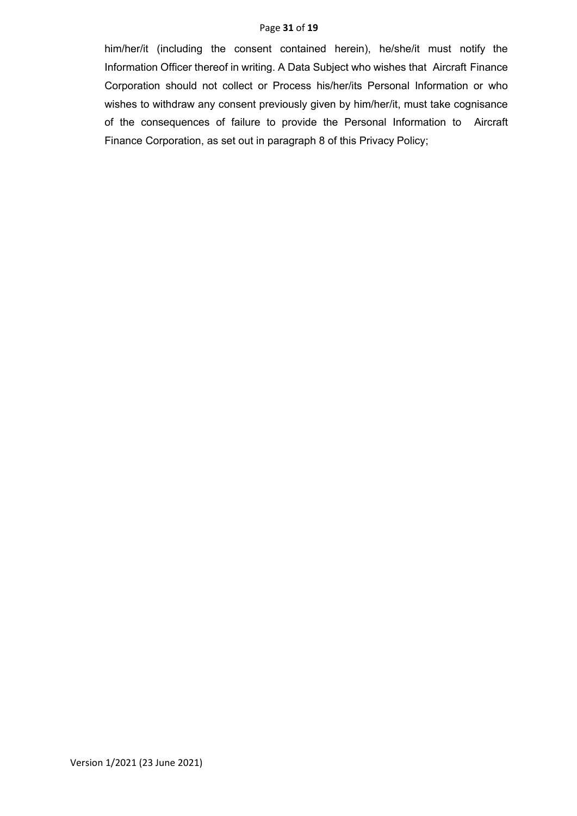#### Page **31** of **19**

him/her/it (including the consent contained herein), he/she/it must notify the Information Officer thereof in writing. A Data Subject who wishes that Aircraft Finance Corporation should not collect or Process his/her/its Personal Information or who wishes to withdraw any consent previously given by him/her/it, must take cognisance of the consequences of failure to provide the Personal Information to Aircraft Finance Corporation, as set out in paragraph 8 of this Privacy Policy;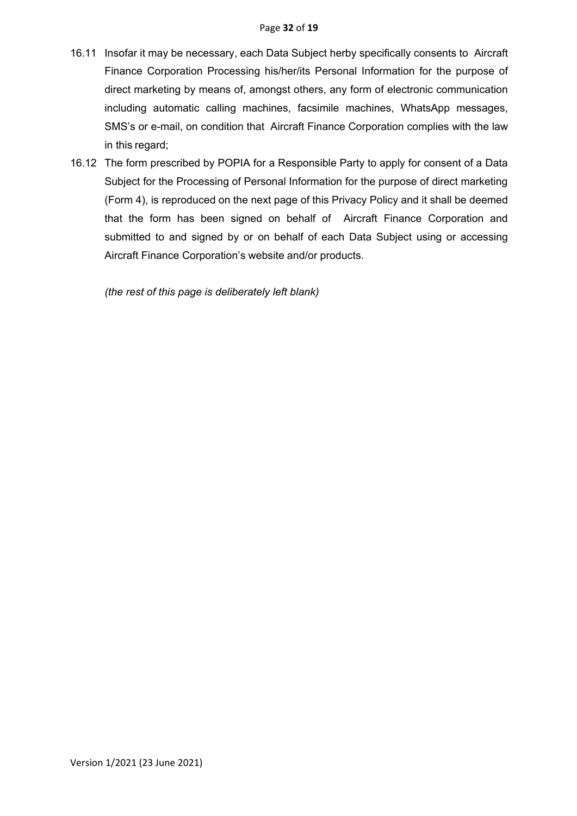- 16.11 Insofar it may be necessary, each Data Subject herby specifically consents to Aircraft Finance Corporation Processing his/her/its Personal Information for the purpose of direct marketing by means of, amongst others, any form of electronic communication including automatic calling machines, facsimile machines, WhatsApp messages, SMS's or e-mail, on condition that Aircraft Finance Corporation complies with the law in this regard;
- 16.12 The form prescribed by POPIA for a Responsible Party to apply for consent of a Data Subject for the Processing of Personal Information for the purpose of direct marketing (Form 4), is reproduced on the next page of this Privacy Policy and it shall be deemed that the form has been signed on behalf of Aircraft Finance Corporation and submitted to and signed by or on behalf of each Data Subject using or accessing Aircraft Finance Corporation's website and/or products.

*(the rest of this page is deliberately left blank)*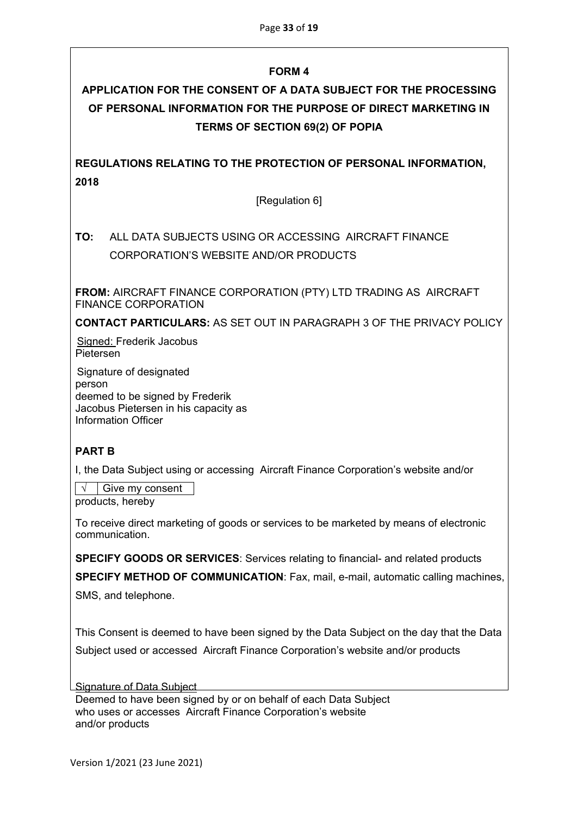## **FORM 4**

# **APPLICATION FOR THE CONSENT OF A DATA SUBJECT FOR THE PROCESSING OF PERSONAL INFORMATION FOR THE PURPOSE OF DIRECT MARKETING IN TERMS OF SECTION 69(2) OF POPIA**

**REGULATIONS RELATING TO THE PROTECTION OF PERSONAL INFORMATION, 2018**

[Regulation 6]

# **TO:** ALL DATA SUBJECTS USING OR ACCESSING AIRCRAFT FINANCE CORPORATION'S WEBSITE AND/OR PRODUCTS

**FROM:** AIRCRAFT FINANCE CORPORATION (PTY) LTD TRADING AS AIRCRAFT FINANCE CORPORATION

**CONTACT PARTICULARS:** AS SET OUT IN PARAGRAPH 3 OF THE PRIVACY POLICY

Signed: Frederik Jacobus Pietersen

Signature of designated person deemed to be signed by Frederik Jacobus Pietersen in his capacity as Information Officer

## **PART B**

I, the Data Subject using or accessing Aircraft Finance Corporation's website and/or

**√** Give my consent

products, hereby

To receive direct marketing of goods or services to be marketed by means of electronic communication.

**SPECIFY GOODS OR SERVICES**: Services relating to financial- and related products

**SPECIFY METHOD OF COMMUNICATION**: Fax, mail, e-mail, automatic calling machines,

SMS, and telephone.

This Consent is deemed to have been signed by the Data Subject on the day that the Data Subject used or accessed Aircraft Finance Corporation's website and/or products

Signature of Data Subject

Deemed to have been signed by or on behalf of each Data Subject who uses or accesses Aircraft Finance Corporation's website and/or products